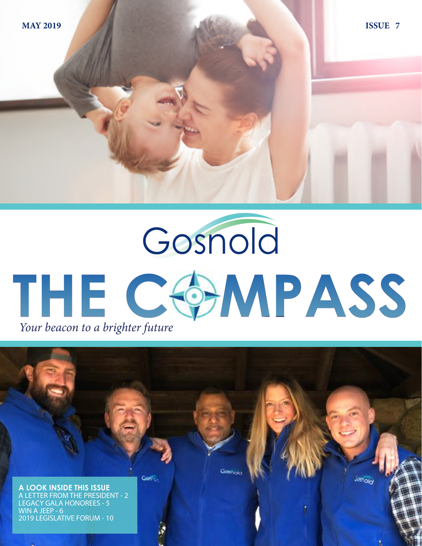Gosnold THE COMPASS *Your beacon to a brighter future*

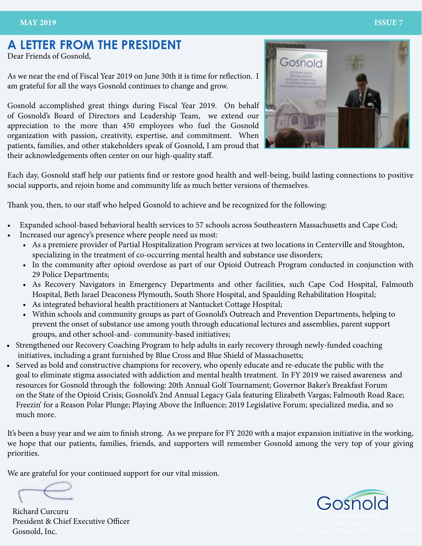### **A LETTER FROM THE PRESIDENT**

Dear Friends of Gosnold,

As we near the end of Fiscal Year 2019 on June 30th it is time for reflection. I am grateful for all the ways Gosnold continues to change and grow.

Gosnold accomplished great things during Fiscal Year 2019. On behalf of Gosnold's Board of Directors and Leadership Team, we extend our appreciation to the more than 450 employees who fuel the Gosnold organization with passion, creativity, expertise, and commitment. When patients, families, and other stakeholders speak of Gosnold, I am proud that their acknowledgements often center on our high-quality staff.



Each day, Gosnold staff help our patients find or restore good health and well-being, build lasting connections to positive social supports, and rejoin home and community life as much better versions of themselves.

Thank you, then, to our staff who helped Gosnold to achieve and be recognized for the following:

- Expanded school-based behavioral health services to 57 schools across Southeastern Massachusetts and Cape Cod;
- Increased our agency's presence where people need us most:
	- As a premiere provider of Partial Hospitalization Program services at two locations in Centerville and Stoughton, specializing in the treatment of co-occurring mental health and substance use disorders;
	- In the community after opioid overdose as part of our Opioid Outreach Program conducted in conjunction with 29 Police Departments;
	- As Recovery Navigators in Emergency Departments and other facilities, such Cape Cod Hospital, Falmouth Hospital, Beth Israel Deaconess Plymouth, South Shore Hospital, and Spaulding Rehabilitation Hospital;
	- As integrated behavioral health practitioners at Nantucket Cottage Hospital;
	- Within schools and community groups as part of Gosnold's Outreach and Prevention Departments, helping to prevent the onset of substance use among youth through educational lectures and assemblies, parent support groups, and other school-and- community-based initiatives;
- Strengthened our Recovery Coaching Program to help adults in early recovery through newly-funded coaching initiatives, including a grant furnished by Blue Cross and Blue Shield of Massachusetts;
- Served as bold and constructive champions for recovery, who openly educate and re-educate the public with the goal to eliminate stigma associated with addiction and mental health treatment. In FY 2019 we raised awareness and resources for Gosnold through the following: 20th Annual Golf Tournament; Governor Baker's Breakfast Forum on the State of the Opioid Crisis; Gosnold's 2nd Annual Legacy Gala featuring Elizabeth Vargas; Falmouth Road Race; Freezin' for a Reason Polar Plunge; Playing Above the Influence; 2019 Legislative Forum; specialized media, and so much more.

It's been a busy year and we aim to finish strong. As we prepare for FY 2020 with a major expansion initiative in the working, we hope that our patients, families, friends, and supporters will remember Gosnold among the very top of your giving priorities.

We are grateful for your continued support for our vital mission.

President & Chief Executive Officer Gosnold, Inc.

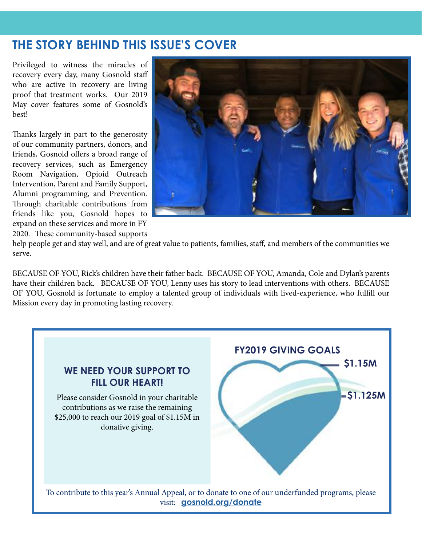### **THE STORY BEHIND THIS ISSUE'S COVER**

Privileged to witness the miracles of recovery every day, many Gosnold staff who are active in recovery are living proof that treatment works. Our 2019 May cover features some of Gosnold's best!

Thanks largely in part to the generosity of our community partners, donors, and friends, Gosnold offers a broad range of recovery services, such as Emergency Room Navigation, Opioid Outreach Intervention, Parent and Family Support, Alumni programming, and Prevention. Through charitable contributions from friends like you, Gosnold hopes to expand on these services and more in FY 2020. These community-based supports



help people get and stay well, and are of great value to patients, families, staff, and members of the communities we serve.

BECAUSE OF YOU, Rick's children have their father back. BECAUSE OF YOU, Amanda, Cole and Dylan's parents have their children back. BECAUSE OF YOU, Lenny uses his story to lead interventions with others. BECAUSE OF YOU, Gosnold is fortunate to employ a talented group of individuals with lived-experience, who fulfill our Mission every day in promoting lasting recovery.

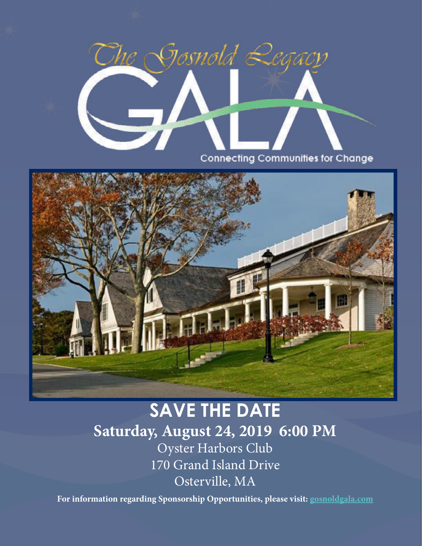

**Connecting Communities for Change** 



# **Saturday, August 24, 2019 6:00 PM** Oyster Harbors Club 170 Grand Island Drive Osterville, MA **SAVE THE DATE**

**For information regarding Sponsorship Opportunities, please visit: [gosnoldgala.com](http://gosnoldgala.com)**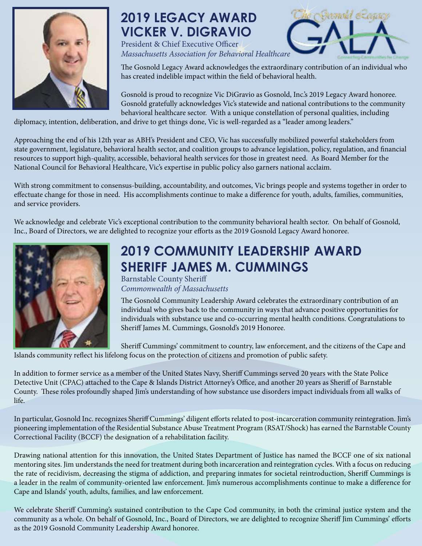

## **2019 LEGACY AWARD VICKER V. DIGRAVIO**

President & Chief Executive Officer *Massachusetts Association for Behavioral Healthcare*

The Gosnold Legacy Award acknowledges the extraordinary contribution of an individual who has created indelible impact within the field of behavioral health.

Famold *Requiry* 

Gosnold is proud to recognize Vic DiGravio as Gosnold, Inc.'s 2019 Legacy Award honoree. Gosnold gratefully acknowledges Vic's statewide and national contributions to the community behavioral healthcare sector. With a unique constellation of personal qualities, including

diplomacy, intention, deliberation, and drive to get things done, Vic is well-regarded as a "leader among leaders."

Approaching the end of his 12th year as ABH's President and CEO, Vic has successfully mobilized powerful stakeholders from state government, legislature, behavioral health sector, and coalition groups to advance legislation, policy, regulation, and financial resources to support high-quality, accessible, behavioral health services for those in greatest need. As Board Member for the National Council for Behavioral Healthcare, Vic's expertise in public policy also garners national acclaim.

With strong commitment to consensus-building, accountability, and outcomes, Vic brings people and systems together in order to effectuate change for those in need. His accomplishments continue to make a difference for youth, adults, families, communities, and service providers.

We acknowledge and celebrate Vic's exceptional contribution to the community behavioral health sector. On behalf of Gosnold, Inc., Board of Directors, we are delighted to recognize your efforts as the 2019 Gosnold Legacy Award honoree.



## **2019 COMMUNITY LEADERSHIP AWARD SHERIFF JAMES M. CUMMINGS**

Barnstable County Sheriff *Commonwealth of Massachusetts*

The Gosnold Community Leadership Award celebrates the extraordinary contribution of an individual who gives back to the community in ways that advance positive opportunities for individuals with substance use and co-occurring mental health conditions. Congratulations to Sheriff James M. Cummings, Gosnold's 2019 Honoree.

Sheriff Cummings' commitment to country, law enforcement, and the citizens of the Cape and Islands community reflect his lifelong focus on the protection of citizens and promotion of public safety.

In addition to former service as a member of the United States Navy, Sheriff Cummings served 20 years with the State Police Detective Unit (CPAC) attached to the Cape & Islands District Attorney's Office, and another 20 years as Sheriff of Barnstable County. These roles profoundly shaped Jim's understanding of how substance use disorders impact individuals from all walks of life.

In particular, Gosnold Inc. recognizes Sheriff Cummings' diligent efforts related to post-incarceration community reintegration. Jim's pioneering implementation of the Residential Substance Abuse Treatment Program (RSAT/Shock) has earned the Barnstable County Correctional Facility (BCCF) the designation of a rehabilitation facility.

Drawing national attention for this innovation, the United States Department of Justice has named the BCCF one of six national mentoring sites. Jim understands the need for treatment during both incarceration and reintegration cycles. With a focus on reducing the rate of recidivism, decreasing the stigma of addiction, and preparing inmates for societal reintroduction, Sheriff Cummings is a leader in the realm of community-oriented law enforcement. Jim's numerous accomplishments continue to make a difference for Cape and Islands' youth, adults, families, and law enforcement.

We celebrate Sheriff Cumming's sustained contribution to the Cape Cod community, in both the criminal justice system and the community as a whole. On behalf of Gosnold, Inc., Board of Directors, we are delighted to recognize Sheriff Jim Cummings' efforts as the 2019 Gosnold Community Leadership Award honoree.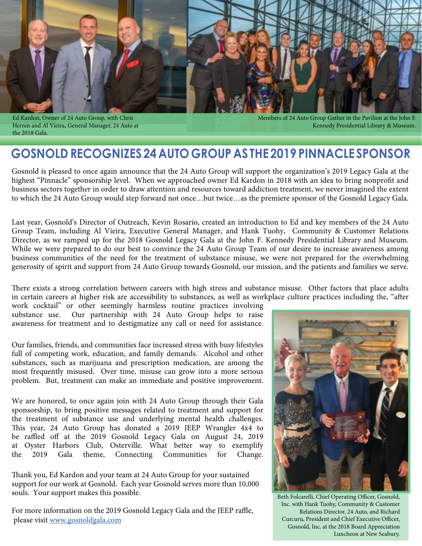



Ed Kardon, Owner of 24 Auto Group, with Chris Herren and Al Vieira, General Manager, 24 Auto at the 2018 Gala.

Members of 24 Auto Group Gather in the Pavilion at the John F. Kennedy Presidential Library & Museum.

### **GOSNOLD RECOGNIZES 24 AUTO GROUP AS THE 2019 PINNACLE SPONSOR**

Gosnold is pleased to once again announce that the 24 Auto Group will support the organization's 2019 Legacy Gala at the highest "Pinnacle" sponsorship level. When we approached owner Ed Kardon in 2018 with an idea to bring nonprofit and business sectors together in order to draw attention and resources toward addiction treatment, we never imagined the extent to which the 24 Auto Group would step forward not once…but twice…as the premiere sponsor of the Gosnold Legacy Gala.

Last year, Gosnold's Director of Outreach, Kevin Rosario, created an introduction to Ed and key members of the 24 Auto Group Team, including Al Vieira, Executive General Manager, and Hank Tuohy, Community & Customer Relations Director, as we ramped up for the 2018 Gosnold Legacy Gala at the John F. Kennedy Presidential Library and Museum. While we were prepared to do our best to convince the 24 Auto Group Team of our desire to increase awareness among business communities of the need for the treatment of substance misuse, we were not prepared for the overwhelming generosity of spirit and support from 24 Auto Group towards Gosnold, our mission, and the patients and families we serve.

There exists a strong correlation between careers with high stress and substance misuse. Other factors that place adults in certain careers at higher risk are accessibility to substances, as well as workplace culture practices including the, "after

work cocktail" or other seemingly harmless routine practices involving<br>substance use. Our partnership with 24 Auto Group helps to raise Our partnership with 24 Auto Group helps to raise awareness for treatment and to destigmatize any call or need for assistance.

Our families, friends, and communities face increased stress with busy lifestyles full of competing work, education, and family demands. Alcohol and other substances, such as marijuana and prescription medication, are among the most frequently misused. Over time, misuse can grow into a more serious problem. But, treatment can make an immediate and positive improvement.

We are honored, to once again join with 24 Auto Group through their Gala sponsorship, to bring positive messages related to treatment and support for the treatment of substance use and underlying mental health challenges. This year, 24 Auto Group has donated a 2019 JEEP Wrangler 4x4 to be raffled off at the 2019 Gosnold Legacy Gala on August 24, 2019 at Oyster Harbors Club, Osterville. What better way to exemplify the 2019 Gala theme, Connecting Communities for Change.

Thank you, Ed Kardon and your team at 24 Auto Group for your sustained support for our work at Gosnold. Each year Gosnold serves more than 10,000 souls. Your support makes this possible.

For more information on the 2019 Gosnold Legacy Gala and the JEEP raffle, please visit [www.gosnoldgala.com](http://www.gosnoldgala.com)



Beth Folcarelli, Chief Operating Officer, Gosnold, Inc. with Hank Tuohy, Community & Customer Relations Director, 24 Auto, and Richard Curcuru, President and Chief Executive Officer, Gosnold, Inc. at the 2018 Board Appreciation Luncheon at New Seabury.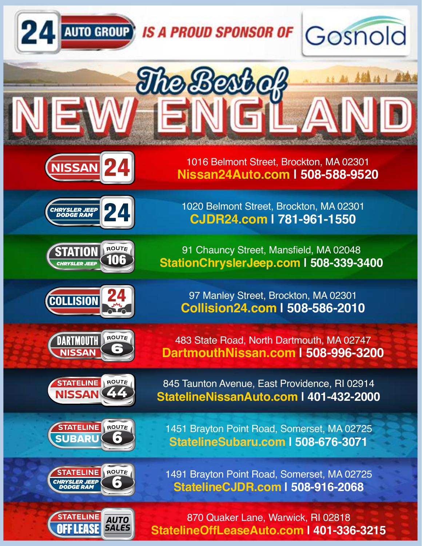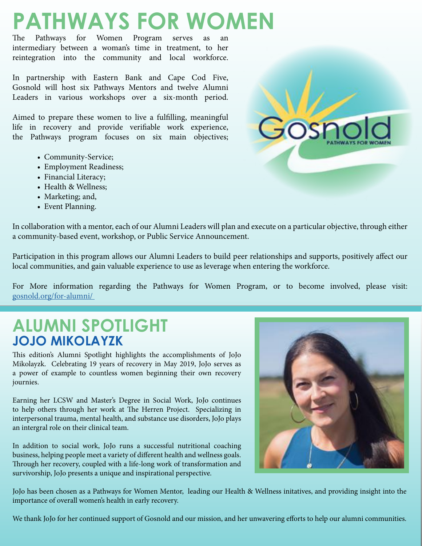# **PATHWAYS FOR WOMEN**<br>The Pathways for Women Program serves as an

Pathways for Women Program serves as intermediary between a woman's time in treatment, to her reintegration into the community and local workforce.

In partnership with Eastern Bank and Cape Cod Five, Gosnold will host six Pathways Mentors and twelve Alumni Leaders in various workshops over a six-month period.

Aimed to prepare these women to live a fulfilling, meaningful life in recovery and provide verifiable work experience, the Pathways program focuses on six main objectives;

- Community-Service;
- Employment Readiness;
- Financial Literacy;
- Health & Wellness;
- Marketing; and,
- Event Planning.

In collaboration with a mentor, each of our Alumni Leaders will plan and execute on a particular objective, through either a community-based event, workshop, or Public Service Announcement.

Participation in this program allows our Alumni Leaders to build peer relationships and supports, positively affect our local communities, and gain valuable experience to use as leverage when entering the workforce.

For More information regarding the Pathways for Women Program, or to become involved, please visit: [gosnold.org/for-alumni/](http://gosnold.org/for-alumni/ ) 

## **ALUMNI SPOTLIGHT JOJO MIKOLAYZK**

This edition's Alumni Spotlight highlights the accomplishments of JoJo Mikolayzk. Celebrating 19 years of recovery in May 2019, JoJo serves as a power of example to countless women beginning their own recovery journies.

Earning her LCSW and Master's Degree in Social Work, JoJo continues to help others through her work at The Herren Project. Specializing in interpersonal trauma, mental health, and substance use disorders, JoJo plays an intergral role on their clinical team.

In addition to social work, JoJo runs a successful nutritional coaching business, helping people meet a variety of different health and wellness goals. Through her recovery, coupled with a life-long work of transformation and survivorship, JoJo presents a unique and inspirational perspective.

JoJo has been chosen as a Pathways for Women Mentor, leading our Health & Wellness initatives, and providing insight into the importance of overall women's health in early recovery.

We thank JoJo for her continued support of Gosnold and our mission, and her unwavering efforts to help our alumni communities.



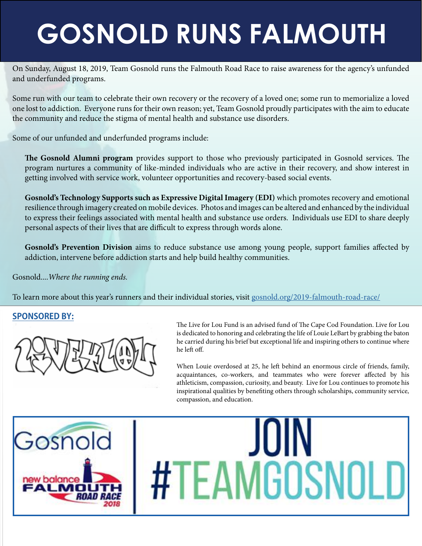# **GOSNOLD RUNS FALMOUTH**

On Sunday, August 18, 2019, Team Gosnold runs the Falmouth Road Race to raise awareness for the agency's unfunded and underfunded programs.

Some run with our team to celebrate their own recovery or the recovery of a loved one; some run to memorialize a loved one lost to addiction. Everyone runs for their own reason; yet, Team Gosnold proudly participates with the aim to educate the community and reduce the stigma of mental health and substance use disorders.

Some of our unfunded and underfunded programs include:

**The Gosnold Alumni program** provides support to those who previously participated in Gosnold services. The program nurtures a community of like-minded individuals who are active in their recovery, and show interest in getting involved with service work, volunteer opportunities and recovery-based social events.

**Gosnold's Technology Supports such as Expressive Digital Imagery (EDI)** which promotes recovery and emotional resilience through imagery created on mobile devices. Photos and images can be altered and enhanced by the individual to express their feelings associated with mental health and substance use orders. Individuals use EDI to share deeply personal aspects of their lives that are difficult to express through words alone.

**Gosnold's Prevention Division** aims to reduce substance use among young people, support families affected by addiction, intervene before addiction starts and help build healthy communities.

Gosnold....*Where the running ends.*

To learn more about this year's runners and their individual stories, visit [gosnold.org/2019-falmouth-road-race/](http://gosnold.org/2019-falmouth-road-race/)

#### **SPONSORED BY:**



The Live for Lou Fund is an advised fund of The Cape Cod Foundation. Live for Lou is dedicated to honoring and celebrating the life of Louie LeBart by grabbing the baton he carried during his brief but exceptional life and inspiring others to continue where he left off.

When Louie overdosed at 25, he left behind an enormous circle of friends, family, acquaintances, co-workers, and teammates who were forever affected by his athleticism, compassion, curiosity, and beauty. Live for Lou continues to promote his inspirational qualities by benefiting others through scholarships, community service, compassion, and education.

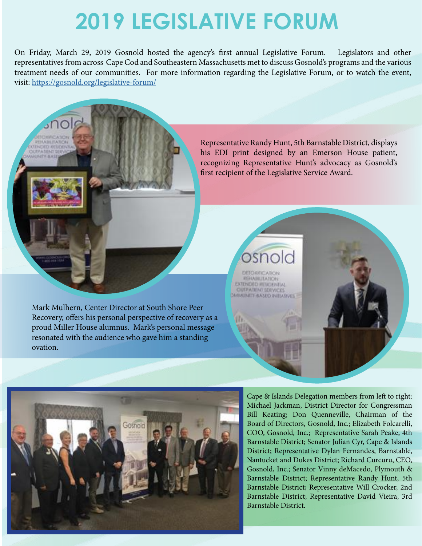# **2019 LEGISLATIVE FORUM**

On Friday, March 29, 2019 Gosnold hosted the agency's first annual Legislative Forum. Legislators and other representatives from across Cape Cod and Southeastern Massachusetts met to discuss Gosnold's programs and the various treatment needs of our communities. For more information regarding the Legislative Forum, or to watch the event, visit:<https://gosnold.org/legislative-forum/>

> Representative Randy Hunt, 5th Barnstable District, displays his EDI print designed by an Emerson House patient, recognizing Representative Hunt's advocacy as Gosnold's first recipient of the Legislative Service Award.

Mark Mulhern, Center Director at South Shore Peer Recovery, offers his personal perspective of recovery as a proud Miller House alumnus. Mark's personal message resonated with the audience who gave him a standing ovation.

**REBABLITATION** *ENDED RESIDENTIAL* **OUTPATIENT SERVICES MMUNITY RASED INITIATURE** 



Cape & Islands Delegation members from left to right: Michael Jackman, District Director for Congressman Bill Keating; Don Quenneville, Chairman of the Board of Directors, Gosnold, Inc.; Elizabeth Folcarelli, COO, Gosnold, Inc.; Representative Sarah Peake, 4th Barnstable District; Senator Julian Cyr, Cape & Islands District; Representative Dylan Fernandes, Barnstable, Nantucket and Dukes District; Richard Curcuru, CEO, Gosnold, Inc.; Senator Vinny deMacedo, Plymouth & Barnstable District; Representative Randy Hunt, 5th Barnstable District; Representative Will Crocker, 2nd Barnstable District; Representative David Vieira, 3rd Barnstable District.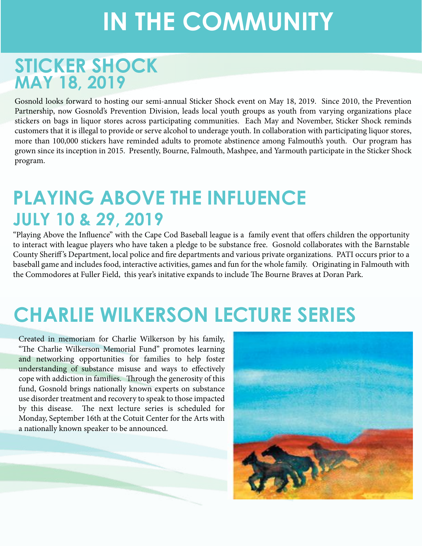# **IN THE COMMUNITY**

# **STICKER SHOCK MAY 18, 2019**

Gosnold looks forward to hosting our semi-annual Sticker Shock event on May 18, 2019. Since 2010, the Prevention Partnership, now Gosnold's Prevention Division, leads local youth groups as youth from varying organizations place stickers on bags in liquor stores across participating communities. Each May and November, Sticker Shock reminds customers that it is illegal to provide or serve alcohol to underage youth. In collaboration with participating liquor stores, more than 100,000 stickers have reminded adults to promote abstinence among Falmouth's youth. Our program has grown since its inception in 2015. Presently, Bourne, Falmouth, Mashpee, and Yarmouth participate in the Sticker Shock program.

# **PLAYING ABOVE THE INFLUENCE JULY 10 & 29, 2019**

"Playing Above the Influence" with the Cape Cod Baseball league is a family event that offers children the opportunity to interact with league players who have taken a pledge to be substance free. Gosnold collaborates with the Barnstable County Sheriff 's Department, local police and fire departments and various private organizations. PATI occurs prior to a baseball game and includes food, interactive activities, games and fun for the whole family. Originating in Falmouth with the Commodores at Fuller Field, this year's initative expands to include The Bourne Braves at Doran Park.

# **CHARLIE WILKERSON LECTURE SERIES**

Created in memoriam for Charlie Wilkerson by his family, "The Charlie Wilkerson Memorial Fund" promotes learning and networking opportunities for families to help foster understanding of substance misuse and ways to effectively cope with addiction in families. Through the generosity of this fund, Gosnold brings nationally known experts on substance use disorder treatment and recovery to speak to those impacted by this disease. The next lecture series is scheduled for Monday, September 16th at the Cotuit Center for the Arts with a nationally known speaker to be announced.